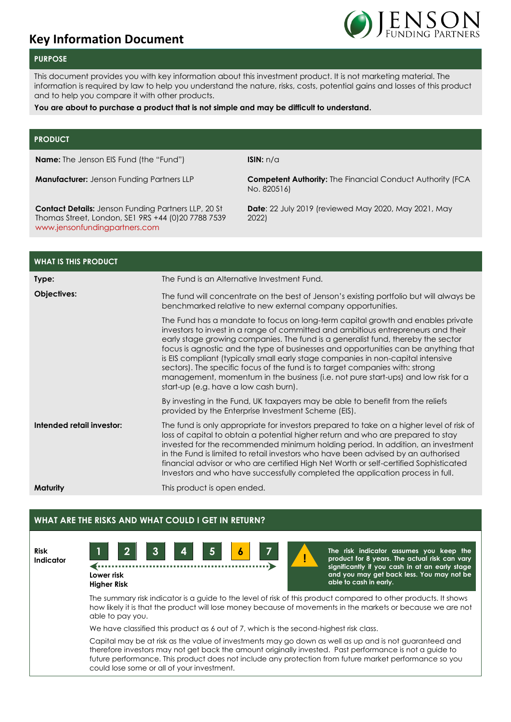# **Key Information Document**



### **PURPOSE**

This document provides you with key information about this investment product. It is not marketing material. The information is required by law to help you understand the nature, risks, costs, potential gains and losses of this product and to help you compare it with other products.

### **You are about to purchase a product that is not simple and may be difficult to understand.**

### **PRODUCT**

**Name:** The Jenson EIS Fund (the "Fund") **ISIN:** n/a

**Manufacturer:** Jenson Funding Partners LLP **Competent Authority:** The Financial Conduct Authority (FCA No. 820516)

**Contact Details:** Jenson Funding Partners LLP, 20 St Thomas Street, London, SE1 9RS +44 (0)20 7788 7539 [www.jensonfundingpartners.com](http://www.jensonfundingpartners.com/)

**Date**: 22 July 2019 (reviewed May 2020, May 2021, May 2022)

| <b>WHAT IS THIS PRODUCT</b> |                                                                                                                                                                                                                                                                                                                                                                                                                                                                                                                                                                                                                                                   |  |  |  |  |
|-----------------------------|---------------------------------------------------------------------------------------------------------------------------------------------------------------------------------------------------------------------------------------------------------------------------------------------------------------------------------------------------------------------------------------------------------------------------------------------------------------------------------------------------------------------------------------------------------------------------------------------------------------------------------------------------|--|--|--|--|
| Type:                       | The Fund is an Alternative Investment Fund.                                                                                                                                                                                                                                                                                                                                                                                                                                                                                                                                                                                                       |  |  |  |  |
| Objectives:                 | The fund will concentrate on the best of Jenson's existing portfolio but will always be<br>benchmarked relative to new external company opportunities.                                                                                                                                                                                                                                                                                                                                                                                                                                                                                            |  |  |  |  |
|                             | The Fund has a mandate to focus on long-term capital growth and enables private<br>investors to invest in a range of committed and ambitious entrepreneurs and their<br>early stage growing companies. The fund is a generalist fund, thereby the sector<br>focus is agnostic and the type of businesses and opportunities can be anything that<br>is EIS compliant (typically small early stage companies in non-capital intensive<br>sectors). The specific focus of the fund is to target companies with: strong<br>management, momentum in the business (i.e. not pure start-ups) and low risk for a<br>start-up (e.g. have a low cash burn). |  |  |  |  |
|                             | By investing in the Fund, UK taxpayers may be able to benefit from the reliefs<br>provided by the Enterprise Investment Scheme (EIS).                                                                                                                                                                                                                                                                                                                                                                                                                                                                                                             |  |  |  |  |
| Intended retail investor:   | The fund is only appropriate for investors prepared to take on a higher level of risk of<br>loss of capital to obtain a potential higher return and who are prepared to stay<br>invested for the recommended minimum holding period. In addition, an investment<br>in the Fund is limited to retail investors who have been advised by an authorised<br>financial advisor or who are certified High Net Worth or self-certified Sophisticated<br>Investors and who have successfully completed the application process in full.                                                                                                                   |  |  |  |  |
| Maturity                    | This product is open ended.                                                                                                                                                                                                                                                                                                                                                                                                                                                                                                                                                                                                                       |  |  |  |  |

# **WHAT ARE THE RISKS AND WHAT COULD I GET IN RETURN?**

**Risk Indicator**



**Lower risk Higher Risk**  **The risk indicator assumes you keep the product for 8 years. The actual risk can vary significantly if you cash in at an early stage and you may get back less. You may not be able to cash in early.**

The summary risk indicator is a guide to the level of risk of this product compared to other products. It shows how likely it is that the product will lose money because of movements in the markets or because we are not able to pay you.

! **!**

We have classified this product as 6 out of 7, which is the second-highest risk class.

Capital may be at risk as the value of investments may go down as well as up and is not guaranteed and therefore investors may not get back the amount originally invested. Past performance is not a guide to future performance. This product does not include any protection from future market performance so you could lose some or all of your investment.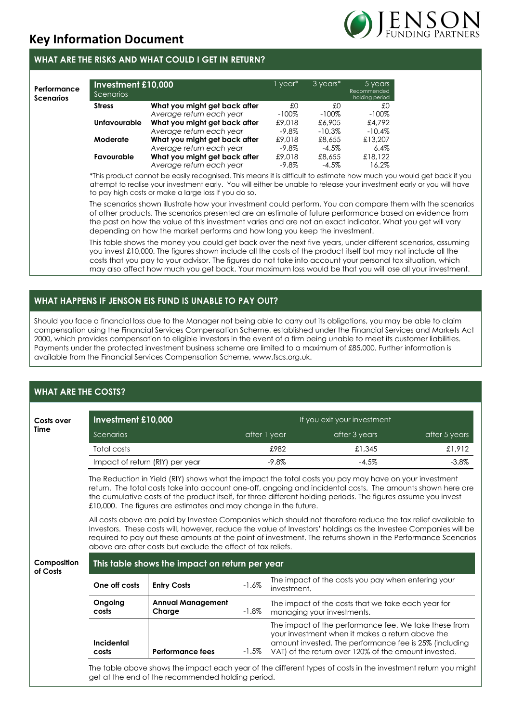# **Key Information Document**

### **WHAT ARE THE RISKS AND WHAT COULD I GET IN RETURN?**

| Performance<br><b>Scenarios</b> | Investment £10,000<br>Scenarios |                               | 1 year*  | 3 years*  | 5 years<br>Recommended<br>holding period |
|---------------------------------|---------------------------------|-------------------------------|----------|-----------|------------------------------------------|
|                                 | <b>Stress</b>                   | What you might get back after | £O       | £Ο        | £0                                       |
|                                 |                                 | Average return each year      | $-100\%$ | $-100\%$  | $-100\%$                                 |
|                                 | <b>Unfavourable</b>             | What you might get back after | £9,018   | £6,905    | £4,792                                   |
|                                 |                                 | Average return each year      | $-9.8\%$ | $-10.3\%$ | $-10.4\%$                                |
|                                 | Moderate                        | What you might get back after | £9,018   | £8,655    | £13,207                                  |
|                                 |                                 | Average return each year      | $-9.8\%$ | $-4.5\%$  | $6.4\%$                                  |
|                                 | Favourable                      | What you might get back after | £9,018   | £8,655    | £18,122                                  |
|                                 |                                 | Average return each year      | $-9.8\%$ | $-4.5\%$  | 16.2%                                    |

\*This product cannot be easily recognised. This means it is difficult to estimate how much you would get back if you attempt to realise your investment early. You will either be unable to release your investment early or you will have to pay high costs or make a large loss if you do so.

The scenarios shown illustrate how your investment could perform. You can compare them with the scenarios of other products. The scenarios presented are an estimate of future performance based on evidence from the past on how the value of this investment varies and are not an exact indicator. What you get will vary depending on how the market performs and how long you keep the investment.

This table shows the money you could get back over the next five years, under different scenarios, assuming you invest £10,000. The figures shown include all the costs of the product itself but may not include all the costs that you pay to your advisor. The figures do not take into account your personal tax situation, which may also affect how much you get back. Your maximum loss would be that you will lose all your investment.

# **WHAT HAPPENS IF JENSON EIS FUND IS UNABLE TO PAY OUT?**

Should you face a financial loss due to the Manager not being able to carry out its obligations, you may be able to claim compensation using the Financial Services Compensation Scheme, established under the Financial Services and Markets Act 2000, which provides compensation to eligible investors in the event of a firm being unable to meet its customer liabilities. Payments under the protected investment business scheme are limited to a maximum of £85,000. Further information is available from the Financial Services Compensation Scheme, www.fscs.org.uk.

# **WHAT ARE THE COSTS?**

| Costs over              | Investment £10,000                                                                                                                                                                                                                                                                                                                                                                                          |                                                                                                                                                                                                                                                                                                                                                                                                                 | If you exit your investment |                                                                   |                                                                                                                                                                                                                             |               |  |  |  |  |
|-------------------------|-------------------------------------------------------------------------------------------------------------------------------------------------------------------------------------------------------------------------------------------------------------------------------------------------------------------------------------------------------------------------------------------------------------|-----------------------------------------------------------------------------------------------------------------------------------------------------------------------------------------------------------------------------------------------------------------------------------------------------------------------------------------------------------------------------------------------------------------|-----------------------------|-------------------------------------------------------------------|-----------------------------------------------------------------------------------------------------------------------------------------------------------------------------------------------------------------------------|---------------|--|--|--|--|
| Time                    | Scenarios                                                                                                                                                                                                                                                                                                                                                                                                   |                                                                                                                                                                                                                                                                                                                                                                                                                 |                             | after 1 year                                                      | after 3 years                                                                                                                                                                                                               | after 5 years |  |  |  |  |
|                         | Total costs                                                                                                                                                                                                                                                                                                                                                                                                 |                                                                                                                                                                                                                                                                                                                                                                                                                 | £982                        |                                                                   | £1,345                                                                                                                                                                                                                      | £1,912        |  |  |  |  |
|                         | Impact of return (RIY) per year                                                                                                                                                                                                                                                                                                                                                                             |                                                                                                                                                                                                                                                                                                                                                                                                                 |                             | $-9.8%$                                                           | $-4.5%$                                                                                                                                                                                                                     | $-3.8\%$      |  |  |  |  |
|                         | The Reduction in Yield (RIY) shows what the impact the total costs you pay may have on your investment<br>return. The total costs take into account one-off, ongoing and incidental costs. The amounts shown here are<br>the cumulative costs of the product itself, for three different holding periods. The figures assume you invest<br>£10,000. The figures are estimates and may change in the future. |                                                                                                                                                                                                                                                                                                                                                                                                                 |                             |                                                                   |                                                                                                                                                                                                                             |               |  |  |  |  |
|                         |                                                                                                                                                                                                                                                                                                                                                                                                             | All costs above are paid by Investee Companies which should not therefore reduce the tax relief available to<br>Investors. These costs will, however, reduce the value of Investors' holdings as the Investee Companies will be<br>required to pay out these amounts at the point of investment. The returns shown in the Performance Scenarios<br>above are after costs but exclude the effect of tax reliefs. |                             |                                                                   |                                                                                                                                                                                                                             |               |  |  |  |  |
| Composition<br>of Costs | This table shows the impact on return per year                                                                                                                                                                                                                                                                                                                                                              |                                                                                                                                                                                                                                                                                                                                                                                                                 |                             |                                                                   |                                                                                                                                                                                                                             |               |  |  |  |  |
|                         | One off costs                                                                                                                                                                                                                                                                                                                                                                                               | <b>Entry Costs</b>                                                                                                                                                                                                                                                                                                                                                                                              | $-1.6%$                     | The impact of the costs you pay when entering your<br>investment. |                                                                                                                                                                                                                             |               |  |  |  |  |
|                         | Ongoing<br>costs                                                                                                                                                                                                                                                                                                                                                                                            | <b>Annual Management</b><br>Charge                                                                                                                                                                                                                                                                                                                                                                              | $-1.8\%$                    | managing your investments.                                        | The impact of the costs that we take each year for                                                                                                                                                                          |               |  |  |  |  |
|                         | Incidental<br>costs                                                                                                                                                                                                                                                                                                                                                                                         | <b>Performance fees</b>                                                                                                                                                                                                                                                                                                                                                                                         | $-1.5\%$                    |                                                                   | The impact of the performance fee. We take these from<br>your investment when it makes a return above the<br>amount invested. The performance fee is 25% (including<br>VAT) of the return over 120% of the amount invested. |               |  |  |  |  |
|                         |                                                                                                                                                                                                                                                                                                                                                                                                             | get at the end of the recommended holding period.                                                                                                                                                                                                                                                                                                                                                               |                             |                                                                   | The table above shows the impact each year of the different types of costs in the investment return you might                                                                                                               |               |  |  |  |  |